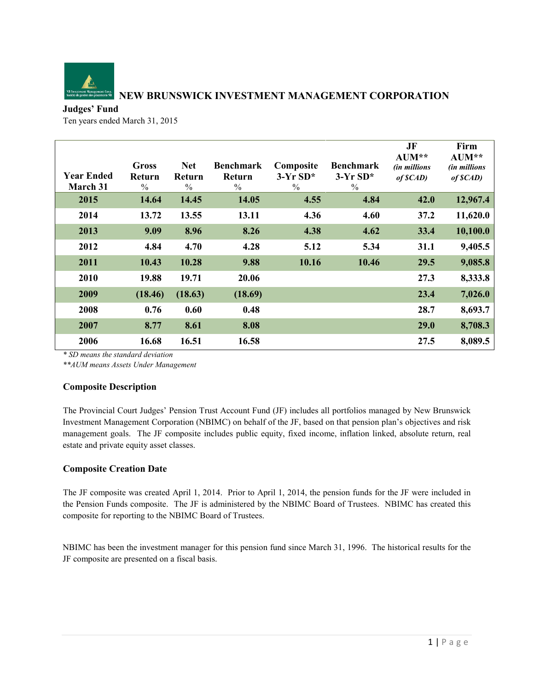

# **NEW BRUNSWICK INVESTMENT MANAGEMENT CORPORATION**

## **Judges' Fund**

Ten years ended March 31, 2015

| <b>Year Ended</b><br>March 31 | Gross<br><b>Return</b><br>$\frac{0}{0}$ | <b>Net</b><br>Return<br>$\%$ | <b>Benchmark</b><br>Return<br>$\frac{0}{0}$ | Composite<br>$3-YrSD*$<br>$\frac{0}{0}$ | <b>Benchmark</b><br>$3-YrSD*$<br>$\frac{0}{0}$ | JF<br>$AUM**$<br><i>(in millions</i> )<br>$of$ $\mathcal{S}(AD)$ | Firm<br>$AUM**$<br><i>(in millions</i> )<br>of SCAD |
|-------------------------------|-----------------------------------------|------------------------------|---------------------------------------------|-----------------------------------------|------------------------------------------------|------------------------------------------------------------------|-----------------------------------------------------|
| 2015                          | 14.64                                   | 14.45                        | 14.05                                       | 4.55                                    | 4.84                                           | 42.0                                                             | 12,967.4                                            |
| 2014                          | 13.72                                   | 13.55                        | 13.11                                       | 4.36                                    | 4.60                                           | 37.2                                                             | 11,620.0                                            |
| 2013                          | 9.09                                    | 8.96                         | 8.26                                        | 4.38                                    | 4.62                                           | 33.4                                                             | 10,100.0                                            |
| 2012                          | 4.84                                    | 4.70                         | 4.28                                        | 5.12                                    | 5.34                                           | 31.1                                                             | 9,405.5                                             |
| 2011                          | 10.43                                   | 10.28                        | 9.88                                        | 10.16                                   | 10.46                                          | 29.5                                                             | 9,085.8                                             |
| 2010                          | 19.88                                   | 19.71                        | 20.06                                       |                                         |                                                | 27.3                                                             | 8,333.8                                             |
| 2009                          | (18.46)                                 | (18.63)                      | (18.69)                                     |                                         |                                                | 23.4                                                             | 7,026.0                                             |
| 2008                          | 0.76                                    | 0.60                         | 0.48                                        |                                         |                                                | 28.7                                                             | 8,693.7                                             |
| 2007                          | 8.77                                    | 8.61                         | 8.08                                        |                                         |                                                | 29.0                                                             | 8,708.3                                             |
| 2006                          | 16.68                                   | 16.51                        | 16.58                                       |                                         |                                                | 27.5                                                             | 8,089.5                                             |

*\* SD means the standard deviation*

*\*\*AUM means Assets Under Management*

## **Composite Description**

The Provincial Court Judges' Pension Trust Account Fund (JF) includes all portfolios managed by New Brunswick Investment Management Corporation (NBIMC) on behalf of the JF, based on that pension plan's objectives and risk management goals. The JF composite includes public equity, fixed income, inflation linked, absolute return, real estate and private equity asset classes.

## **Composite Creation Date**

The JF composite was created April 1, 2014. Prior to April 1, 2014, the pension funds for the JF were included in the Pension Funds composite. The JF is administered by the NBIMC Board of Trustees. NBIMC has created this composite for reporting to the NBIMC Board of Trustees.

NBIMC has been the investment manager for this pension fund since March 31, 1996. The historical results for the JF composite are presented on a fiscal basis.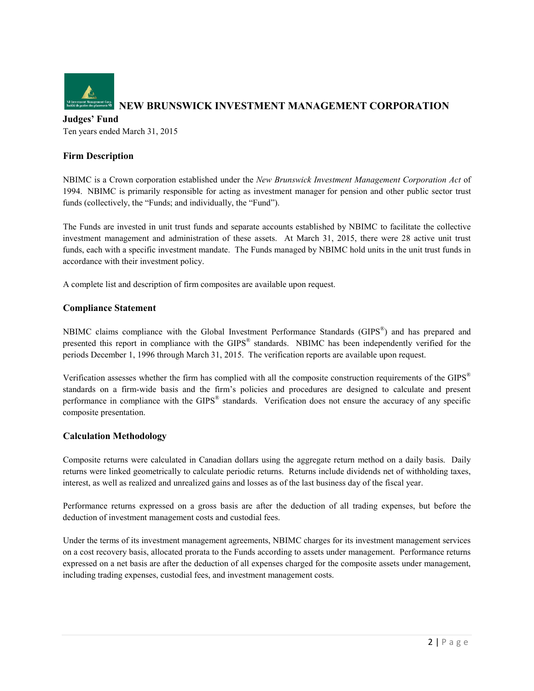

#### **Judges' Fund**

Ten years ended March 31, 2015

### **Firm Description**

NBIMC is a Crown corporation established under the *New Brunswick Investment Management Corporation Act* of 1994. NBIMC is primarily responsible for acting as investment manager for pension and other public sector trust funds (collectively, the "Funds; and individually, the "Fund").

The Funds are invested in unit trust funds and separate accounts established by NBIMC to facilitate the collective investment management and administration of these assets. At March 31, 2015, there were 28 active unit trust funds, each with a specific investment mandate. The Funds managed by NBIMC hold units in the unit trust funds in accordance with their investment policy.

A complete list and description of firm composites are available upon request.

### **Compliance Statement**

NBIMC claims compliance with the Global Investment Performance Standards (GIPS®) and has prepared and presented this report in compliance with the GIPS® standards. NBIMC has been independently verified for the periods December 1, 1996 through March 31, 2015. The verification reports are available upon request.

Verification assesses whether the firm has complied with all the composite construction requirements of the GIPS<sup>®</sup> standards on a firm-wide basis and the firm's policies and procedures are designed to calculate and present performance in compliance with the GIPS® standards. Verification does not ensure the accuracy of any specific composite presentation.

### **Calculation Methodology**

Composite returns were calculated in Canadian dollars using the aggregate return method on a daily basis. Daily returns were linked geometrically to calculate periodic returns. Returns include dividends net of withholding taxes, interest, as well as realized and unrealized gains and losses as of the last business day of the fiscal year.

Performance returns expressed on a gross basis are after the deduction of all trading expenses, but before the deduction of investment management costs and custodial fees.

Under the terms of its investment management agreements, NBIMC charges for its investment management services on a cost recovery basis, allocated prorata to the Funds according to assets under management. Performance returns expressed on a net basis are after the deduction of all expenses charged for the composite assets under management, including trading expenses, custodial fees, and investment management costs.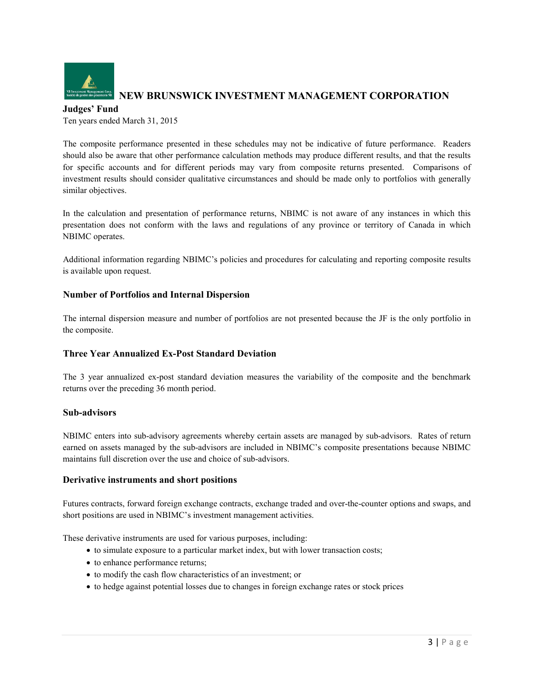

# **NEW BRUNSWICK INVESTMENT MANAGEMENT CORPORATION**

**Judges' Fund** Ten years ended March 31, 2015

The composite performance presented in these schedules may not be indicative of future performance. Readers should also be aware that other performance calculation methods may produce different results, and that the results for specific accounts and for different periods may vary from composite returns presented. Comparisons of investment results should consider qualitative circumstances and should be made only to portfolios with generally similar objectives.

In the calculation and presentation of performance returns, NBIMC is not aware of any instances in which this presentation does not conform with the laws and regulations of any province or territory of Canada in which NBIMC operates.

Additional information regarding NBIMC's policies and procedures for calculating and reporting composite results is available upon request.

## **Number of Portfolios and Internal Dispersion**

The internal dispersion measure and number of portfolios are not presented because the JF is the only portfolio in the composite.

## **Three Year Annualized Ex-Post Standard Deviation**

The 3 year annualized ex-post standard deviation measures the variability of the composite and the benchmark returns over the preceding 36 month period.

### **Sub-advisors**

NBIMC enters into sub-advisory agreements whereby certain assets are managed by sub-advisors. Rates of return earned on assets managed by the sub-advisors are included in NBIMC's composite presentations because NBIMC maintains full discretion over the use and choice of sub-advisors.

### **Derivative instruments and short positions**

Futures contracts, forward foreign exchange contracts, exchange traded and over-the-counter options and swaps, and short positions are used in NBIMC's investment management activities.

These derivative instruments are used for various purposes, including:

- to simulate exposure to a particular market index, but with lower transaction costs;
- to enhance performance returns;
- to modify the cash flow characteristics of an investment; or
- to hedge against potential losses due to changes in foreign exchange rates or stock prices